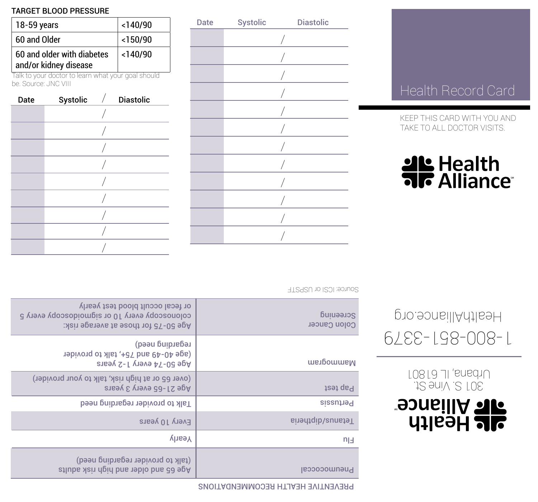## PREVENTIVE HEALTH RECOMMENDATIONS

Date Systolic Diastolic

/ / / / / / / / / / / /

| Mammogram         | көдвидшо иөөд)<br>19bivong of Mat, talk to provider<br>Age 50-74 every 1-2 years |
|-------------------|----------------------------------------------------------------------------------|
| Pap test          | (over 65 or at high risk, talk to your provider)<br>Age 21-65 every 3 years      |
| Pertussis         | Talk to provider regarding need                                                  |
| Tetanus/diptheria | Every 10 years                                                                   |
| $n_{\parallel}$   | <b>Yearly</b>                                                                    |
| Pneumococcal      | (talk to provider regarding need)<br>Age 65 and older and high risk adults       |
|                   |                                                                                  |

|  |  | <b>AL</b> Health    |  |
|--|--|---------------------|--|
|  |  | <b>FIR Alliance</b> |  |

301 S. Vine St. Urbana, IL 61801

**alt Alliance**<br>**Alt Health** 

1-800-851-3379

HealthAlliance.org

KEEP THIS CARD WITH YOU AND TAKE TO ALL DOCTOR VISITS.

|  |  | KEEP THIS CARD WITH YOU AND |  |
|--|--|-----------------------------|--|

## Health Record Card

| 18-59 years                                                               | $<$ 140/90 |  |                  |  |  |  |  |
|---------------------------------------------------------------------------|------------|--|------------------|--|--|--|--|
| 60 and Older                                                              | $<$ 150/90 |  |                  |  |  |  |  |
| 60 and older with diabetes<br>and/or kidney disease                       | $<$ 140/90 |  |                  |  |  |  |  |
| Talk to your doctor to learn what your goal should<br>he Source: JNC VIII |            |  |                  |  |  |  |  |
| Date                                                                      | Systolic   |  | <b>Diastolic</b> |  |  |  |  |
|                                                                           |            |  |                  |  |  |  |  |

/ / / / / / / /

TARGET BLOOD PRESSURE

|  |  |  | the contract of the contract of the contract of the contract of the contract of the contract of the contract of |  |
|--|--|--|-----------------------------------------------------------------------------------------------------------------|--|

| Source: ICSI or USPSTF    |                                                                                                                            |
|---------------------------|----------------------------------------------------------------------------------------------------------------------------|
| Screeuing<br>Colon Cancer | or fecal occult blood test yearly<br>colonoscopy every 10 or sigmoidoscopy every 5<br>Age 50-75 for those at average risk: |
| Mammogram                 | regarding need)<br>19 40-49 and 75+, talk to provider<br>Age 50-74 every 1-2 years                                         |
| rest que                  | (over 65 or at high risk, talk to your provider)<br>Age 21-65 every 3 years                                                |
| <b>Pertussis</b>          | Talk to provider regarding need                                                                                            |
| Tetanus/diptheria         | Every 10 years                                                                                                             |
| $n_{\text{H}}$            | <b>Ylashy</b>                                                                                                              |
|                           |                                                                                                                            |